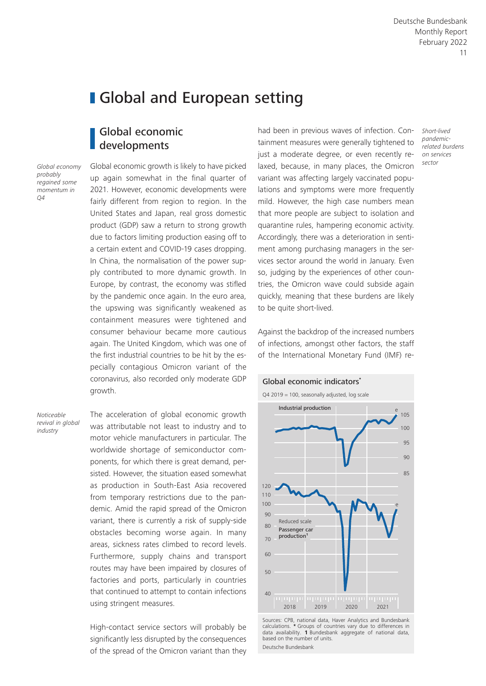# **I** Global and European setting

## Global economic developments

*Global economy probably regained some momentum in Q4*

Global economic growth is likely to have picked up again somewhat in the final quarter of 2021. However, economic developments were fairly different from region to region. In the United States and Japan, real gross domestic product (GDP) saw a return to strong growth due to factors limiting production easing off to a certain extent and COVID-19 cases dropping. In China, the normalisation of the power supply contributed to more dynamic growth. In Europe, by contrast, the economy was stifled by the pandemic once again. In the euro area, the upswing was significantly weakened as containment measures were tightened and consumer behaviour became more cautious again. The United Kingdom, which was one of the first industrial countries to be hit by the especially contagious Omicron variant of the coronavirus, also recorded only moderate GDP growth.

*Noticeable revival in global industry*

The acceleration of global economic growth was attributable not least to industry and to motor vehicle manufacturers in particular. The worldwide shortage of semiconductor components, for which there is great demand, persisted. However, the situation eased somewhat as production in South-East Asia recovered from temporary restrictions due to the pandemic. Amid the rapid spread of the Omicron variant, there is currently a risk of supply-side obstacles becoming worse again. In many areas, sickness rates climbed to record levels. Furthermore, supply chains and transport routes may have been impaired by closures of factories and ports, particularly in countries that continued to attempt to contain infections using stringent measures.

High-contact service sectors will probably be significantly less disrupted by the consequences of the spread of the Omicron variant than they had been in previous waves of infection. Containment measures were generally tightened to just a moderate degree, or even recently relaxed, because, in many places, the Omicron variant was affecting largely vaccinated populations and symptoms were more frequently mild. However, the high case numbers mean that more people are subject to isolation and quarantine rules, hampering economic activity. Accordingly, there was a deterioration in sentiment among purchasing managers in the services sector around the world in January. Even so, judging by the experiences of other countries, the Omicron wave could subside again quickly, meaning that these burdens are likely to be quite short-lived.

Against the backdrop of the increased numbers of infections, amongst other factors, the staff of the International Monetary Fund (IMF) re-



Sources: CPB, national data, Haver Analytics and Bundesbank calculations. **\*** Groups of countries vary due to differences in data availability. **1** Bundesbank aggregate of national data, based on the number of units. Deutsche Bundesbank

*Short-lived pandemicrelated burdens on services sector*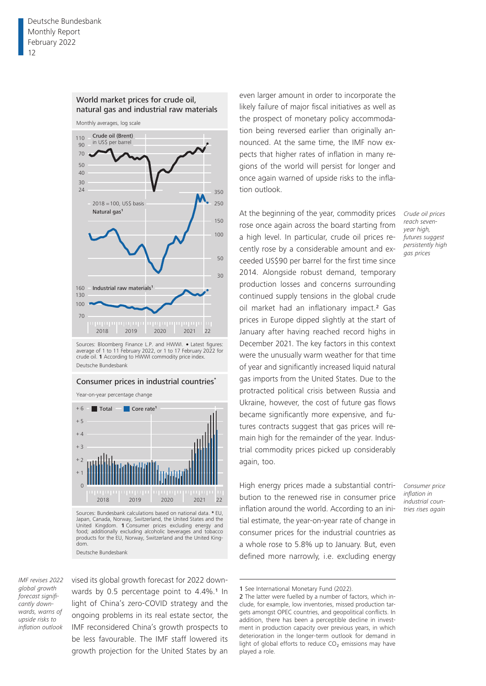

World market prices for crude oil, natural gas and industrial raw materials

Monthly averages, log scale

Sources: Bloomberg Finance L.P. and HWWI. • Latest figures: average of 1 to 11 February 2022, or 1 to 17 February 2022 for crude oil. **1** According to HWWI commodity price index. Deutsche Bundesbank

#### Consumer prices in industrial countries**\***

Year-on-year percentage change



Sources: Bundesbank calculations based on national data. **\*** EU, Japan, Canada, Norway, Switzerland, the United States and the United Kingdom. **1** Consumer prices excluding energy and food; additionally excluding alcoholic beverages and tobacco products for the EU, Norway, Switzerland and the United Kingdom. Deutsche Bundesbank

*IMF revises 2022 global growth forecast significantly downwards, warns of upside risks to inflation outlook*

vised its global growth forecast for 2022 downwards by 0.5 percentage point to 4.4%.<sup>1</sup> In light of China's zero-COVID strategy and the ongoing problems in its real estate sector, the IMF reconsidered China's growth prospects to be less favourable. The IMF staff lowered its growth projection for the United States by an

even larger amount in order to incorporate the likely failure of major fiscal initiatives as well as the prospect of monetary policy accommodation being reversed earlier than originally announced. At the same time, the IMF now expects that higher rates of inflation in many regions of the world will persist for longer and once again warned of upside risks to the inflation outlook.

At the beginning of the year, commodity prices rose once again across the board starting from a high level. In particular, crude oil prices recently rose by a considerable amount and exceeded US\$90 per barrel for the first time since 2014. Alongside robust demand, temporary production losses and concerns surrounding continued supply tensions in the global crude oil market had an inflationary impact.<sup>2</sup> Gas prices in Europe dipped slightly at the start of January after having reached record highs in December 2021. The key factors in this context were the unusually warm weather for that time of year and significantly increased liquid natural gas imports from the United States. Due to the protracted political crisis between Russia and Ukraine, however, the cost of future gas flows became significantly more expensive, and futures contracts suggest that gas prices will remain high for the remainder of the year. Industrial commodity prices picked up considerably again, too.

High energy prices made a substantial contribution to the renewed rise in consumer price inflation around the world. According to an initial estimate, the year-on-year rate of change in consumer prices for the industrial countries as a whole rose to 5.8% up to January. But, even defined more narrowly, i.e. excluding energy

*Crude oil prices reach sevenyear high, futures suggest persistently high gas prices*

*Consumer price inflation in industrial countries rises again*

<sup>1</sup> See International Monetary Fund (2022).

<sup>2</sup> The latter were fuelled by a number of factors, which include, for example, low inventories, missed production targets amongst OPEC countries, and geopolitical conflicts. In addition, there has been a perceptible decline in investment in production capacity over previous years, in which deterioration in the longer-term outlook for demand in light of global efforts to reduce CO<sub>2</sub> emissions may have played a role.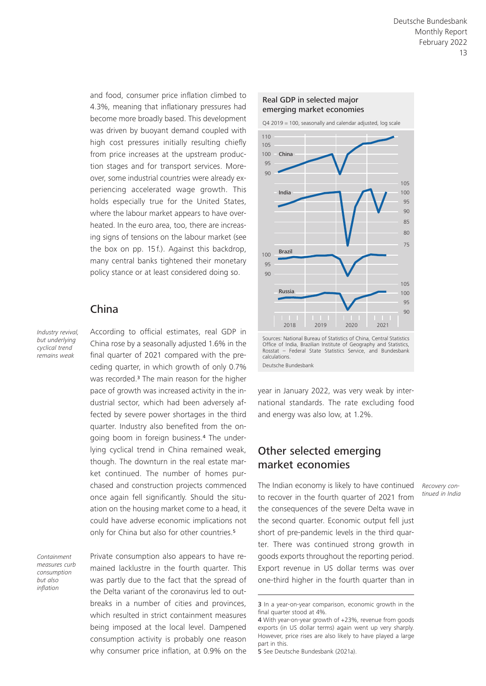and food, consumer price inflation climbed to 4.3%, meaning that inflationary pressures had become more broadly based. This development was driven by buoyant demand coupled with high cost pressures initially resulting chiefly from price increases at the upstream production stages and for transport services. Moreover, some industrial countries were already experiencing accelerated wage growth. This holds especially true for the United States, where the labour market appears to have overheated. In the euro area, too, there are increasing signs of tensions on the labour market (see the box on pp. 15f.). Against this backdrop, many central banks tightened their monetary policy stance or at least considered doing so.

# China

*Industry revival, but underlying cyclical trend remains weak*

According to official estimates, real GDP in China rose by a seasonally adjusted 1.6% in the final quarter of 2021 compared with the preceding quarter, in which growth of only 0.7% was recorded.<sup>3</sup> The main reason for the higher pace of growth was increased activity in the industrial sector, which had been adversely affected by severe power shortages in the third quarter. Industry also benefited from the ongoing boom in foreign business.4 The underlying cyclical trend in China remained weak, though. The downturn in the real estate market continued. The number of homes purchased and construction projects commenced once again fell significantly. Should the situation on the housing market come to a head, it could have adverse economic implications not only for China but also for other countries.<sup>5</sup>

*Containment measures curb consumption but also inflation*

Private consumption also appears to have remained lacklustre in the fourth quarter. This was partly due to the fact that the spread of the Delta variant of the coronavirus led to outbreaks in a number of cities and provinces, which resulted in strict containment measures being imposed at the local level. Dampened consumption activity is probably one reason why consumer price inflation, at 0.9% on the



Q4 2019 = 100, seasonally and calendar adjusted, log scale



Office of India, Brazilian Institute of Geography and Statistics, Rosstat – Federal State Statistics Service, and Bundesbank calculations. Deutsche Bundesbank

year in January 2022, was very weak by international standards. The rate excluding food and energy was also low, at 1.2%.

# Other selected emerging market economies

The Indian economy is likely to have continued to recover in the fourth quarter of 2021 from the consequences of the severe Delta wave in the second quarter. Economic output fell just short of pre-pandemic levels in the third quarter. There was continued strong growth in goods exports throughout the reporting period. Export revenue in US dollar terms was over one-third higher in the fourth quarter than in

*Recovery continued in India*

<sup>3</sup> In a year-on-year comparison, economic growth in the final quarter stood at 4%

<sup>4</sup> With year-on-year growth of +23%, revenue from goods exports (in US dollar terms) again went up very sharply. However, price rises are also likely to have played a large part in this.

<sup>5</sup> See Deutsche Bundesbank (2021a).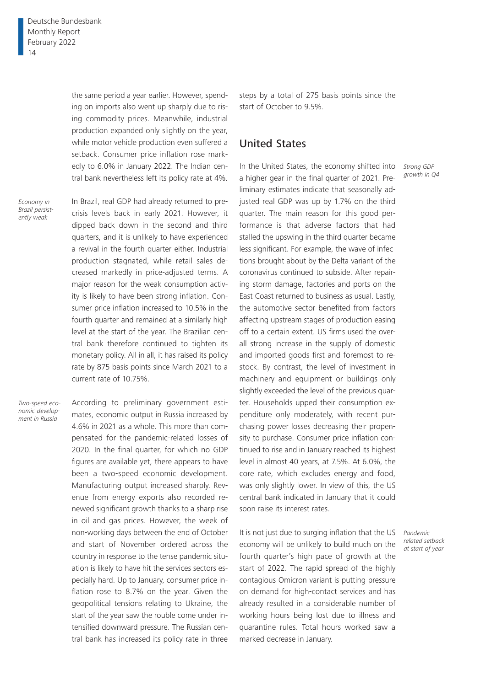the same period a year earlier. However, spending on imports also went up sharply due to rising commodity prices. Meanwhile, industrial production expanded only slightly on the year, while motor vehicle production even suffered a setback. Consumer price inflation rose markedly to 6.0% in January 2022. The Indian central bank nevertheless left its policy rate at 4%.

*Economy in Brazil persistently weak*

In Brazil, real GDP had already returned to precrisis levels back in early 2021. However, it dipped back down in the second and third quarters, and it is unlikely to have experienced a revival in the fourth quarter either. Industrial production stagnated, while retail sales decreased markedly in price-adjusted terms. A major reason for the weak consumption activity is likely to have been strong inflation. Consumer price inflation increased to 10.5% in the fourth quarter and remained at a similarly high level at the start of the year. The Brazilian central bank therefore continued to tighten its monetary policy. All in all, it has raised its policy rate by 875 basis points since March 2021 to a current rate of 10.75%.

*Two-speed economic development in Russia*

According to preliminary government estimates, economic output in Russia increased by 4.6% in 2021 as a whole. This more than compensated for the pandemic-related losses of 2020. In the final quarter, for which no GDP figures are available yet, there appears to have been a two-speed economic development. Manufacturing output increased sharply. Revenue from energy exports also recorded renewed significant growth thanks to a sharp rise in oil and gas prices. However, the week of non-working days between the end of October and start of November ordered across the country in response to the tense pandemic situation is likely to have hit the services sectors especially hard. Up to January, consumer price inflation rose to 8.7% on the year. Given the geopolitical tensions relating to Ukraine, the start of the year saw the rouble come under intensified downward pressure. The Russian central bank has increased its policy rate in three

steps by a total of 275 basis points since the start of October to 9.5%.

## United States

In the United States, the economy shifted into a higher gear in the final quarter of 2021. Preliminary estimates indicate that seasonally adjusted real GDP was up by 1.7% on the third quarter. The main reason for this good performance is that adverse factors that had stalled the upswing in the third quarter became less significant. For example, the wave of infections brought about by the Delta variant of the coronavirus continued to subside. After repairing storm damage, factories and ports on the East Coast returned to business as usual. Lastly, the automotive sector benefited from factors affecting upstream stages of production easing off to a certain extent. US firms used the overall strong increase in the supply of domestic and imported goods first and foremost to restock. By contrast, the level of investment in machinery and equipment or buildings only slightly exceeded the level of the previous quarter. Households upped their consumption expenditure only moderately, with recent purchasing power losses decreasing their propensity to purchase. Consumer price inflation continued to rise and in January reached its highest level in almost 40 years, at 7.5%. At 6.0%, the core rate, which excludes energy and food, was only slightly lower. In view of this, the US central bank indicated in January that it could soon raise its interest rates.

It is not just due to surging inflation that the US economy will be unlikely to build much on the fourth quarter's high pace of growth at the start of 2022. The rapid spread of the highly contagious Omicron variant is putting pressure on demand for high-contact services and has already resulted in a considerable number of working hours being lost due to illness and quarantine rules. Total hours worked saw a marked decrease in January.

*Strong GDP growth in Q4*

*Pandemicrelated setback at start of year*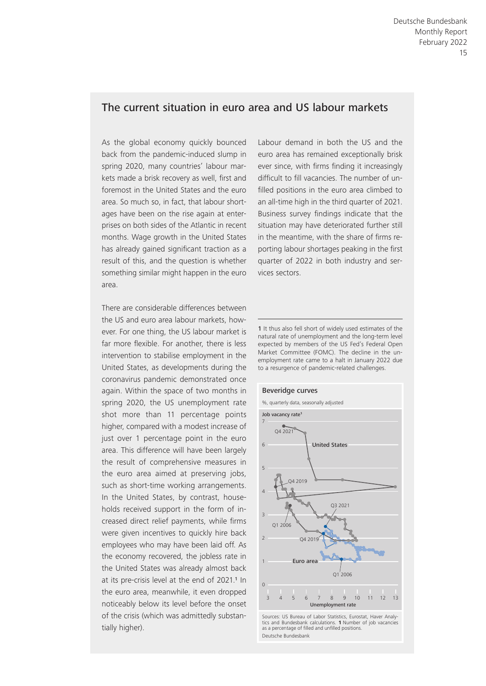#### The current situation in euro area and US labour markets

As the global economy quickly bounced back from the pandemic-induced slump in spring 2020, many countries' labour markets made a brisk recovery as well, first and foremost in the United States and the euro area. So much so, in fact, that labour shortages have been on the rise again at enterprises on both sides of the Atlantic in recent months. Wage growth in the United States has already gained significant traction as a result of this, and the question is whether something similar might happen in the euro area.

There are considerable differences between the US and euro area labour markets, however. For one thing, the US labour market is far more flexible. For another, there is less intervention to stabilise employment in the United States, as developments during the coronavirus pandemic demonstrated once again. Within the space of two months in spring 2020, the US unemployment rate shot more than 11 percentage points higher, compared with a modest increase of just over 1 percentage point in the euro area. This difference will have been largely the result of comprehensive measures in the euro area aimed at preserving jobs, such as short-time working arrangements. In the United States, by contrast, households received support in the form of increased direct relief payments, while firms were given incentives to quickly hire back employees who may have been laid off. As the economy recovered, the jobless rate in the United States was already almost back at its pre-crisis level at the end of 2021.<sup>1</sup> In the euro area, meanwhile, it even dropped noticeably below its level before the onset of the crisis (which was admittedly substantially higher).

Labour demand in both the US and the euro area has remained exceptionally brisk ever since, with firms finding it increasingly difficult to fill vacancies. The number of unfilled positions in the euro area climbed to an all-time high in the third quarter of 2021. Business survey findings indicate that the situation may have deteriorated further still in the meantime, with the share of firms reporting labour shortages peaking in the first quarter of 2022 in both industry and services sectors.

1 It thus also fell short of widely used estimates of the natural rate of unemployment and the long-term level expected by members of the US Fed's Federal Open Market Committee (FOMC). The decline in the unemployment rate came to a halt in January 2022 due to a resurgence of pandemic- related challenges.



Sources: US Bureau of Labor Statistics, Eurostat, Haver Analytics and Bundesbank calculations. **1** Number of job vacancies as a percentage of filled and unfilled positions. Deutsche Bundesbank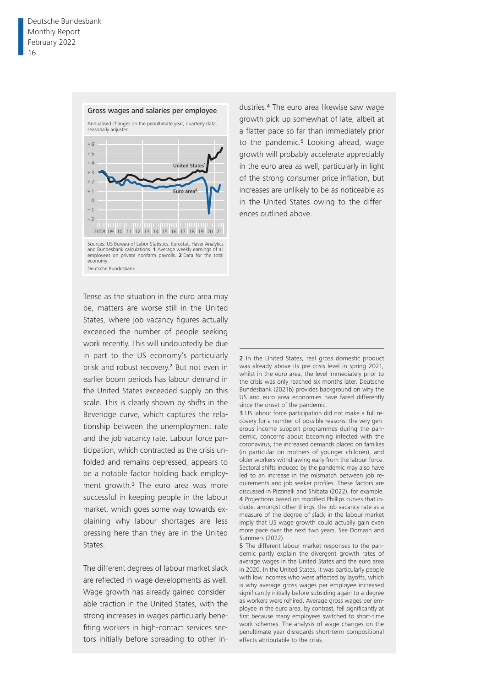

Tense as the situation in the euro area may be, matters are worse still in the United States, where job vacancy figures actually exceeded the number of people seeking work recently. This will undoubtedly be due in part to the US economy's particularly brisk and robust recovery.<sup>2</sup> But not even in earlier boom periods has labour demand in the United States exceeded supply on this scale. This is clearly shown by shifts in the Beveridge curve, which captures the relationship between the unemployment rate and the job vacancy rate. Labour force participation, which contracted as the crisis unfolded and remains depressed, appears to be a notable factor holding back employment growth.3 The euro area was more successful in keeping people in the labour market, which goes some way towards explaining why labour shortages are less pressing here than they are in the United States.

The different degrees of labour market slack are reflected in wage developments as well. Wage growth has already gained considerable traction in the United States, with the strong increases in wages particularly benefiting workers in high-contact services sectors initially before spreading to other industries.4 The euro area likewise saw wage growth pick up somewhat of late, albeit at a flatter pace so far than immediately prior to the pandemic.<sup>5</sup> Looking ahead, wage growth will probably accelerate appreciably in the euro area as well, particularly in light of the strong consumer price inflation, but increases are unlikely to be as noticeable as in the United States owing to the differences outlined above.

2 In the United States, real gross domestic product was already above its pre-crisis level in spring 2021, whilst in the euro area, the level immediately prior to the crisis was only reached six months later. Deutsche Bundesbank (2021b) provides background on why the US and euro area economies have fared differently since the onset of the pandemic.

3 US labour force participation did not make a full recovery for a number of possible reasons: the very generous income support programmes during the pandemic, concerns about becoming infected with the coronavirus, the increased demands placed on families (in particular on mothers of younger children), and older workers withdrawing early from the labour force. Sectoral shifts induced by the pandemic may also have led to an increase in the mismatch between job requirements and job seeker profiles. These factors are discussed in Pizzinelli and Shibata (2022), for example. 4 Projections based on modified Phillips curves that include, amongst other things, the job vacancy rate as a measure of the degree of slack in the labour market imply that US wage growth could actually gain even more pace over the next two years. See Domash and Summers (2022).

5 The different labour market responses to the pandemic partly explain the divergent growth rates of average wages in the United States and the euro area in 2020. In the United States, it was particularly people with low incomes who were affected by layoffs, which is why average gross wages per employee increased significantly initially before subsiding again to a degree as workers were rehired. Average gross wages per employee in the euro area, by contrast, fell significantly at first because many employees switched to short-time work schemes. The analysis of wage changes on the penultimate year disregards short- term compositional effects attributable to the crisis.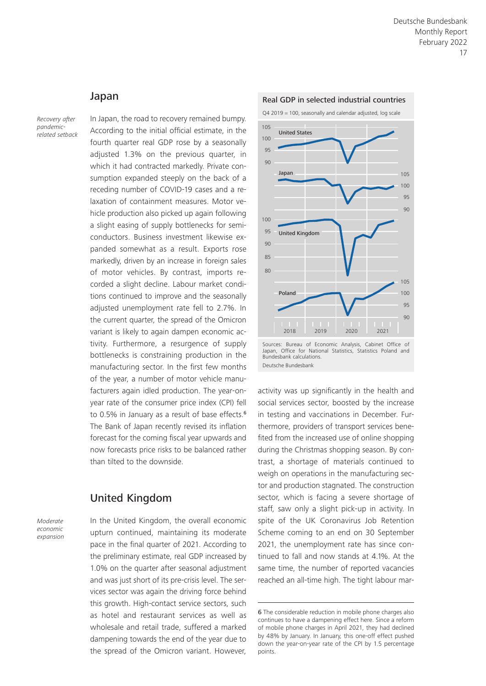#### Japan

*Recovery after pandemicrelated setback*

In Japan, the road to recovery remained bumpy. According to the initial official estimate, in the fourth quarter real GDP rose by a seasonally adjusted 1.3% on the previous quarter, in which it had contracted markedly. Private consumption expanded steeply on the back of a receding number of COVID-19 cases and a relaxation of containment measures. Motor vehicle production also picked up again following a slight easing of supply bottlenecks for semiconductors. Business investment likewise expanded somewhat as a result. Exports rose markedly, driven by an increase in foreign sales of motor vehicles. By contrast, imports recorded a slight decline. Labour market conditions continued to improve and the seasonally adjusted unemployment rate fell to 2.7%. In the current quarter, the spread of the Omicron variant is likely to again dampen economic activity. Furthermore, a resurgence of supply bottlenecks is constraining production in the manufacturing sector. In the first few months of the year, a number of motor vehicle manufacturers again idled production. The year-onyear rate of the consumer price index (CPI) fell to 0.5% in January as a result of base effects.<sup>6</sup> The Bank of Japan recently revised its inflation forecast for the coming fiscal year upwards and now forecasts price risks to be balanced rather than tilted to the downside.

### United Kingdom

*Moderate economic expansion* In the United Kingdom, the overall economic upturn continued, maintaining its moderate pace in the final quarter of 2021. According to the preliminary estimate, real GDP increased by 1.0% on the quarter after seasonal adjustment and was just short of its pre-crisis level. The services sector was again the driving force behind this growth. High-contact service sectors, such as hotel and restaurant services as well as wholesale and retail trade, suffered a marked dampening towards the end of the year due to the spread of the Omicron variant. However,



Q4 2019 = 100, seasonally and calendar adjusted, log scale



Sources: Bureau of Economic Analysis, Cabinet Office of Japan, Office for National Statistics, Statistics Poland and Bundesbank calculations. Deutsche Bundesbank

activity was up significantly in the health and social services sector, boosted by the increase in testing and vaccinations in December. Furthermore, providers of transport services benefited from the increased use of online shopping during the Christmas shopping season. By contrast, a shortage of materials continued to weigh on operations in the manufacturing sector and production stagnated. The construction sector, which is facing a severe shortage of staff, saw only a slight pick-up in activity. In spite of the UK Coronavirus Job Retention Scheme coming to an end on 30 September 2021, the unemployment rate has since continued to fall and now stands at 4.1%. At the same time, the number of reported vacancies reached an all-time high. The tight labour mar-

<sup>6</sup> The considerable reduction in mobile phone charges also continues to have a dampening effect here. Since a reform of mobile phone charges in April 2021, they had declined by 48% by January. In January, this one-off effect pushed down the year-on-year rate of the CPI by 1.5 percentage points.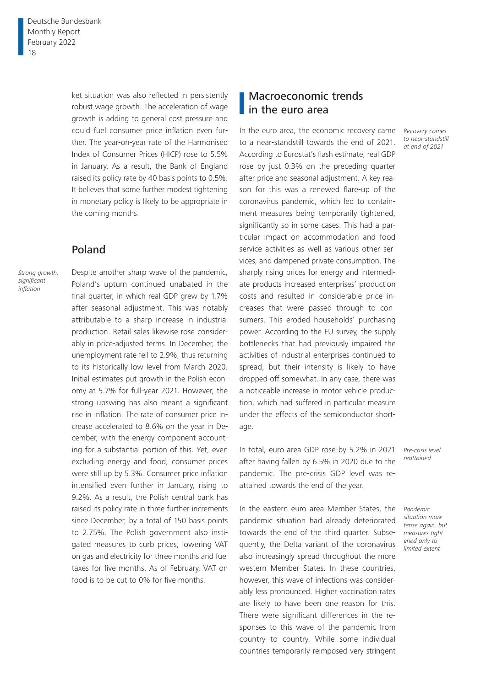ket situation was also reflected in persistently robust wage growth. The acceleration of wage growth is adding to general cost pressure and could fuel consumer price inflation even further. The year-on-year rate of the Harmonised Index of Consumer Prices (HICP) rose to 5.5% in January. As a result, the Bank of England raised its policy rate by 40 basis points to 0.5%. It believes that some further modest tightening in monetary policy is likely to be appropriate in the coming months.

## Poland

*Strong growth, significant inflation*

Despite another sharp wave of the pandemic, Poland's upturn continued unabated in the final quarter, in which real GDP grew by 1.7% after seasonal adjustment. This was notably attributable to a sharp increase in industrial production. Retail sales likewise rose considerably in price-adjusted terms. In December, the unemployment rate fell to 2.9%, thus returning to its historically low level from March 2020. Initial estimates put growth in the Polish economy at 5.7% for full-year 2021. However, the strong upswing has also meant a significant rise in inflation. The rate of consumer price increase accelerated to 8.6% on the year in December, with the energy component accounting for a substantial portion of this. Yet, even excluding energy and food, consumer prices were still up by 5.3%. Consumer price inflation intensified even further in January, rising to 9.2%. As a result, the Polish central bank has raised its policy rate in three further increments since December, by a total of 150 basis points to 2.75%. The Polish government also instigated measures to curb prices, lowering VAT on gas and electricity for three months and fuel taxes for five months. As of February, VAT on food is to be cut to 0% for five months.

## Macroeconomic trends in the euro area

In the euro area, the economic recovery came to a near-standstill towards the end of 2021. According to Eurostat's flash estimate, real GDP rose by just 0.3% on the preceding quarter after price and seasonal adjustment. A key reason for this was a renewed flare-up of the coronavirus pandemic, which led to containment measures being temporarily tightened, significantly so in some cases. This had a particular impact on accommodation and food service activities as well as various other services, and dampened private consumption. The sharply rising prices for energy and intermediate products increased enterprises' production costs and resulted in considerable price increases that were passed through to consumers. This eroded households' purchasing power. According to the EU survey, the supply bottlenecks that had previously impaired the activities of industrial enterprises continued to spread, but their intensity is likely to have dropped off somewhat. In any case, there was a noticeable increase in motor vehicle production, which had suffered in particular measure under the effects of the semiconductor shortage.

In total, euro area GDP rose by 5.2% in 2021 after having fallen by 6.5% in 2020 due to the pandemic. The pre-crisis GDP level was reattained towards the end of the year.

In the eastern euro area Member States, the pandemic situation had already deteriorated towards the end of the third quarter. Subsequently, the Delta variant of the coronavirus also increasingly spread throughout the more western Member States. In these countries, however, this wave of infections was considerably less pronounced. Higher vaccination rates are likely to have been one reason for this. There were significant differences in the responses to this wave of the pandemic from country to country. While some individual countries temporarily reimposed very stringent

*Recovery comes to near-standstill at end of 2021*

> *Pre-crisis level reattained*

*Pandemic situation more tense again, but measures tightened only to limited extent*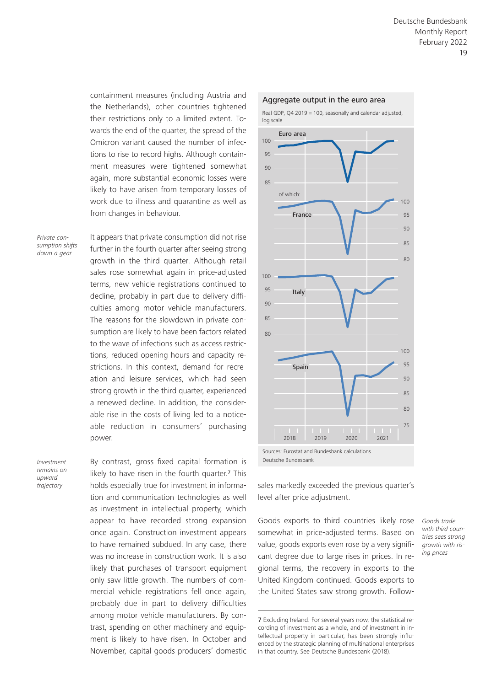containment measures (including Austria and the Netherlands), other countries tightened their restrictions only to a limited extent. Towards the end of the quarter, the spread of the Omicron variant caused the number of infections to rise to record highs. Although containment measures were tightened somewhat again, more substantial economic losses were likely to have arisen from temporary losses of work due to illness and quarantine as well as from changes in behaviour.

*Private consumption shifts down a gear*

It appears that private consumption did not rise further in the fourth quarter after seeing strong growth in the third quarter. Although retail sales rose somewhat again in price-adjusted terms, new vehicle registrations continued to decline, probably in part due to delivery difficulties among motor vehicle manufacturers. The reasons for the slowdown in private consumption are likely to have been factors related to the wave of infections such as access restrictions, reduced opening hours and capacity restrictions. In this context, demand for recreation and leisure services, which had seen strong growth in the third quarter, experienced a renewed decline. In addition, the considerable rise in the costs of living led to a noticeable reduction in consumers' purchasing power.

*Investment remains on upward trajectory*

By contrast, gross fixed capital formation is likely to have risen in the fourth quarter.<sup>7</sup> This holds especially true for investment in information and communication technologies as well as investment in intellectual property, which appear to have recorded strong expansion once again. Construction investment appears to have remained subdued. In any case, there was no increase in construction work. It is also likely that purchases of transport equipment only saw little growth. The numbers of commercial vehicle registrations fell once again, probably due in part to delivery difficulties among motor vehicle manufacturers. By contrast, spending on other machinery and equipment is likely to have risen. In October and November, capital goods producers' domestic



Deutsche Bundesbank

sales markedly exceeded the previous quarter's level after price adjustment.

Goods exports to third countries likely rose somewhat in price-adjusted terms. Based on value, goods exports even rose by a very significant degree due to large rises in prices. In regional terms, the recovery in exports to the United Kingdom continued. Goods exports to the United States saw strong growth. Follow-

7 Excluding Ireland. For several years now, the statistical recording of investment as a whole, and of investment in intellectual property in particular, has been strongly influenced by the strategic planning of multinational enterprises in that country. See Deutsche Bundesbank (2018).

*Goods trade with third countries sees strong growth with rising prices*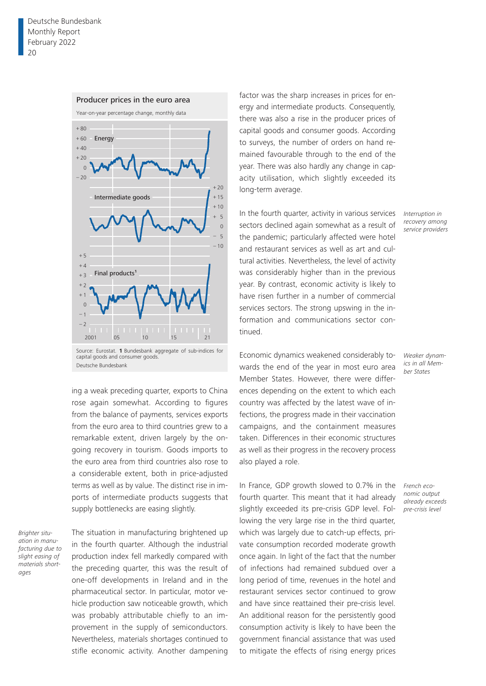

#### Producer prices in the euro area

capital goods and consumer goods. Deutsche Bundesbank

ing a weak preceding quarter, exports to China rose again somewhat. According to figures from the balance of payments, services exports from the euro area to third countries grew to a remarkable extent, driven largely by the ongoing recovery in tourism. Goods imports to the euro area from third countries also rose to a considerable extent, both in price-adjusted terms as well as by value. The distinct rise in imports of intermediate products suggests that supply bottlenecks are easing slightly.

*Brighter situation in manufacturing due to slight easing of materials shortages*

The situation in manufacturing brightened up in the fourth quarter. Although the industrial production index fell markedly compared with the preceding quarter, this was the result of one-off developments in Ireland and in the pharmaceutical sector. In particular, motor vehicle production saw noticeable growth, which was probably attributable chiefly to an improvement in the supply of semiconductors. Nevertheless, materials shortages continued to stifle economic activity. Another dampening

factor was the sharp increases in prices for energy and intermediate products. Consequently, there was also a rise in the producer prices of capital goods and consumer goods. According to surveys, the number of orders on hand remained favourable through to the end of the year. There was also hardly any change in capacity utilisation, which slightly exceeded its long-term average.

In the fourth quarter, activity in various services sectors declined again somewhat as a result of the pandemic; particularly affected were hotel and restaurant services as well as art and cultural activities. Nevertheless, the level of activity was considerably higher than in the previous year. By contrast, economic activity is likely to have risen further in a number of commercial services sectors. The strong upswing in the information and communications sector continued.

Economic dynamics weakened considerably towards the end of the year in most euro area Member States. However, there were differences depending on the extent to which each country was affected by the latest wave of infections, the progress made in their vaccination campaigns, and the containment measures taken. Differences in their economic structures as well as their progress in the recovery process also played a role.

In France, GDP growth slowed to 0.7% in the fourth quarter. This meant that it had already slightly exceeded its pre-crisis GDP level. Following the very large rise in the third quarter, which was largely due to catch-up effects, private consumption recorded moderate growth once again. In light of the fact that the number of infections had remained subdued over a long period of time, revenues in the hotel and restaurant services sector continued to grow and have since reattained their pre-crisis level. An additional reason for the persistently good consumption activity is likely to have been the government financial assistance that was used to mitigate the effects of rising energy prices

*Interruption in recovery among service providers*

*Weaker dynamics in all Member States*

*French economic output already exceeds pre-crisis level*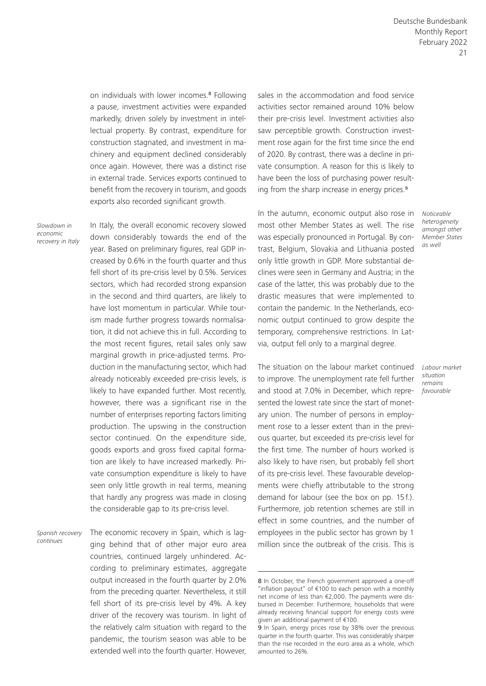on individuals with lower incomes.8 Following a pause, investment activities were expanded markedly, driven solely by investment in intellectual property. By contrast, expenditure for construction stagnated, and investment in machinery and equipment declined considerably once again. However, there was a distinct rise in external trade. Services exports continued to benefit from the recovery in tourism, and goods exports also recorded significant growth.

*Slowdown in economic recovery in Italy* In Italy, the overall economic recovery slowed down considerably towards the end of the year. Based on preliminary figures, real GDP increased by 0.6% in the fourth quarter and thus fell short of its pre-crisis level by 0.5%. Services sectors, which had recorded strong expansion in the second and third quarters, are likely to have lost momentum in particular. While tourism made further progress towards normalisation, it did not achieve this in full. According to the most recent figures, retail sales only saw marginal growth in price-adjusted terms. Production in the manufacturing sector, which had already noticeably exceeded pre-crisis levels, is likely to have expanded further. Most recently, however, there was a significant rise in the number of enterprises reporting factors limiting production. The upswing in the construction sector continued. On the expenditure side, goods exports and gross fixed capital formation are likely to have increased markedly. Private consumption expenditure is likely to have seen only little growth in real terms, meaning that hardly any progress was made in closing the considerable gap to its pre-crisis level.

The economic recovery in Spain, which is lagging behind that of other major euro area countries, continued largely unhindered. According to preliminary estimates, aggregate output increased in the fourth quarter by 2.0% from the preceding quarter. Nevertheless, it still fell short of its pre-crisis level by 4%. A key driver of the recovery was tourism. In light of the relatively calm situation with regard to the pandemic, the tourism season was able to be extended well into the fourth quarter. However, *Spanish recovery continues*

sales in the accommodation and food service activities sector remained around 10% below their pre-crisis level. Investment activities also saw perceptible growth. Construction investment rose again for the first time since the end of 2020. By contrast, there was a decline in private consumption. A reason for this is likely to have been the loss of purchasing power resulting from the sharp increase in energy prices.<sup>9</sup>

In the autumn, economic output also rose in most other Member States as well. The rise was especially pronounced in Portugal. By contrast, Belgium, Slovakia and Lithuania posted only little growth in GDP. More substantial declines were seen in Germany and Austria; in the case of the latter, this was probably due to the drastic measures that were implemented to contain the pandemic. In the Netherlands, economic output continued to grow despite the temporary, comprehensive restrictions. In Latvia, output fell only to a marginal degree.

The situation on the labour market continued to improve. The unemployment rate fell further and stood at 7.0% in December, which represented the lowest rate since the start of monetary union. The number of persons in employment rose to a lesser extent than in the previous quarter, but exceeded its pre-crisis level for the first time. The number of hours worked is also likely to have risen, but probably fell short of its pre-crisis level. These favourable developments were chiefly attributable to the strong demand for labour (see the box on pp. 15f.). Furthermore, job retention schemes are still in effect in some countries, and the number of employees in the public sector has grown by 1 million since the outbreak of the crisis. This is

*Noticeable heterogeneity amongst other Member States as well*

*Labour market situation remains favourable*

<sup>8</sup> In October, the French government approved a one-off "inflation payout" of €100 to each person with a monthly net income of less than €2,000. The payments were disbursed in December. Furthermore, households that were already receiving financial support for energy costs were given an additional payment of €100.

<sup>9</sup> In Spain, energy prices rose by 38% over the previous quarter in the fourth quarter. This was considerably sharper than the rise recorded in the euro area as a whole, which amounted to 26%.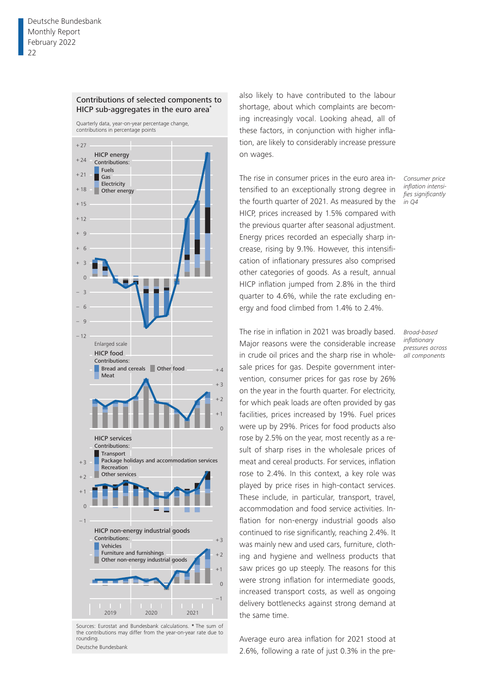

#### Contributions of selected components to HICP sub-aggregates in the euro area**\***

also likely to have contributed to the labour shortage, about which complaints are becoming increasingly vocal. Looking ahead, all of these factors, in conjunction with higher inflation, are likely to considerably increase pressure on wages.

The rise in consumer prices in the euro area intensified to an exceptionally strong degree in the fourth quarter of 2021. As measured by the HICP, prices increased by 1.5% compared with the previous quarter after seasonal adjustment. Energy prices recorded an especially sharp increase, rising by 9.1%. However, this intensification of inflationary pressures also comprised other categories of goods. As a result, annual HICP inflation jumped from 2.8% in the third quarter to 4.6%, while the rate excluding energy and food climbed from 1.4% to 2.4%.

*Consumer price inflation intensifies significantly in Q4*

*Broad-based inflationary pressures across all components*

The rise in inflation in 2021 was broadly based. Major reasons were the considerable increase in crude oil prices and the sharp rise in wholesale prices for gas. Despite government intervention, consumer prices for gas rose by 26% on the year in the fourth quarter. For electricity, for which peak loads are often provided by gas facilities, prices increased by 19%. Fuel prices were up by 29%. Prices for food products also rose by 2.5% on the year, most recently as a result of sharp rises in the wholesale prices of meat and cereal products. For services, inflation rose to 2.4%. In this context, a key role was played by price rises in high-contact services. These include, in particular, transport, travel, accommodation and food service activities. Inflation for non-energy industrial goods also continued to rise significantly, reaching 2.4%. It was mainly new and used cars, furniture, clothing and hygiene and wellness products that saw prices go up steeply. The reasons for this were strong inflation for intermediate goods, increased transport costs, as well as ongoing delivery bottlenecks against strong demand at the same time.

Average euro area inflation for 2021 stood at 2.6%, following a rate of just 0.3% in the pre-



Vehicles

Contributions:

1

–

+

 $\Omega$ 1

Sources: Eurostat and Bundesbank calculations. **\*** The sum of

2019 2020 2021

Other non-energy industrial goods

HICP non-energy industrial goods

Furniture and furnishings

–1 0 +1  $+2$  $+3$ 

П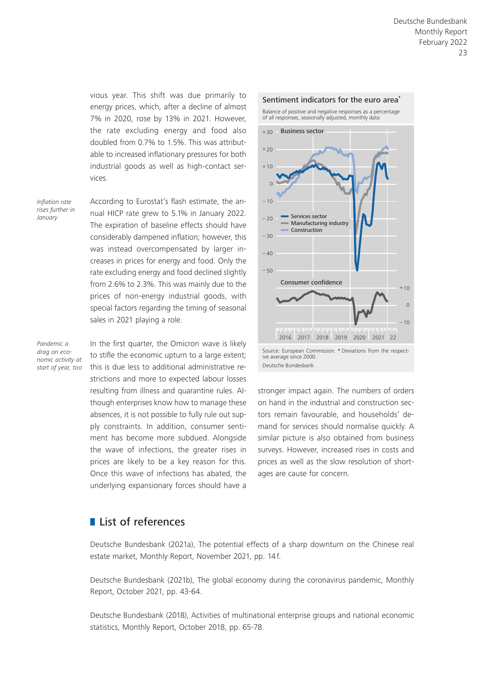vious year. This shift was due primarily to energy prices, which, after a decline of almost 7% in 2020, rose by 13% in 2021. However, the rate excluding energy and food also doubled from 0.7% to 1.5%. This was attributable to increased inflationary pressures for both industrial goods as well as high-contact services.

*Inflation rate rises further in January*

According to Eurostat's flash estimate, the annual HICP rate grew to 5.1% in January 2022. The expiration of baseline effects should have considerably dampened inflation; however, this was instead overcompensated by larger increases in prices for energy and food. Only the rate excluding energy and food declined slightly from 2.6% to 2.3%. This was mainly due to the prices of non-energy industrial goods, with special factors regarding the timing of seasonal sales in 2021 playing a role.

*Pandemic a drag on economic activity at start of year, too* In the first quarter, the Omicron wave is likely to stifle the economic upturn to a large extent; this is due less to additional administrative restrictions and more to expected labour losses resulting from illness and quarantine rules. Although enterprises know how to manage these absences, it is not possible to fully rule out supply constraints. In addition, consumer sentiment has become more subdued. Alongside the wave of infections, the greater rises in prices are likely to be a key reason for this. Once this wave of infections has abated, the underlying expansionary forces should have a



stronger impact again. The numbers of orders on hand in the industrial and construction sectors remain favourable, and households' demand for services should normalise quickly. A similar picture is also obtained from business surveys. However, increased rises in costs and prices as well as the slow resolution of shortages are cause for concern.

# **List of references**

Deutsche Bundesbank (2021a), The potential effects of a sharp downturn on the Chinese real estate market, Monthly Report, November 2021, pp. 14 f.

Deutsche Bundesbank (2021b), The global economy during the coronavirus pandemic, Monthly Report, October 2021, pp. 43-64.

Deutsche Bundesbank (2018), Activities of multinational enterprise groups and national economic statistics, Monthly Report, October 2018, pp. 65-78.